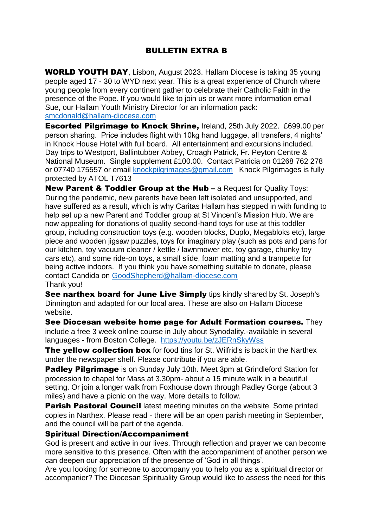## BULLETIN EXTRA B

WORLD YOUTH DAY, Lisbon, August 2023. Hallam Diocese is taking 35 young people aged 17 - 30 to WYD next year. This is a great experience of Church where young people from every continent gather to celebrate their Catholic Faith in the presence of the Pope. If you would like to join us or want more information email Sue, our Hallam Youth Ministry Director for an information pack: [smcdonald@hallam-diocese.com](mailto:smcdonald@hallam-diocese.com)

Escorted Pilgrimage to Knock Shrine, Ireland, 25th July 2022. £699.00 per person sharing. Price includes flight with 10kg hand luggage, all transfers, 4 nights' in Knock House Hotel with full board. All entertainment and excursions included. Day trips to Westport, Ballintubber Abbey, Croagh Patrick, Fr. Peyton Centre & National Museum. Single supplement £100.00. Contact Patricia on 01268 762 278 or 07740 175557 or email [knockpilgrimages@gmail.com](mailto:knockpilgrimages@gmail.com) Knock Pilgrimages is fully protected by ATOL T7613

New Parent & Toddler Group at the Hub - a Request for Quality Toys: During the pandemic, new parents have been left isolated and unsupported, and have suffered as a result, which is why Caritas Hallam has stepped in with funding to help set up a new Parent and Toddler group at St Vincent's Mission Hub. We are now appealing for donations of quality second-hand toys for use at this toddler group, including construction toys (e.g. wooden blocks, Duplo, Megabloks etc), large piece and wooden jigsaw puzzles, toys for imaginary play (such as pots and pans for our kitchen, toy vacuum cleaner / kettle / lawnmower etc, toy garage, chunky toy cars etc), and some ride-on toys, a small slide, foam matting and a trampette for being active indoors. If you think you have something suitable to donate, please contact Candida on [GoodShepherd@hallam-diocese.com](mailto:GoodShepherd@hallam-diocese.com) Thank you!

See narthex board for June Live Simply tips kindly shared by St. Joseph's Dinnington and adapted for our local area. These are also on Hallam Diocese website.

See Diocesan website home page for Adult Formation courses. They include a free 3 week online course in July about Synodality.-available in several languages - from Boston College. <https://youtu.be/zJERnSkyWss>

The yellow collection box for food tins for St. Wilfrid's is back in the Narthex under the newspaper shelf. Please contribute if you are able.

**Padley Pilgrimage** is on Sunday July 10th. Meet 3pm at Grindleford Station for procession to chapel for Mass at 3.30pm- about a 15 minute walk in a beautiful setting. Or join a longer walk from Foxhouse down through Padley Gorge (about 3 miles) and have a picnic on the way. More details to follow.

**Parish Pastoral Council** latest meeting minutes on the website. Some printed copies in Narthex. Please read - there will be an open parish meeting in September, and the council will be part of the agenda.

## Spiritual Direction/Accompaniment

God is present and active in our lives. Through reflection and prayer we can become more sensitive to this presence. Often with the accompaniment of another person we can deepen our appreciation of the presence of 'God in all things'.

Are you looking for someone to accompany you to help you as a spiritual director or accompanier? The Diocesan Spirituality Group would like to assess the need for this